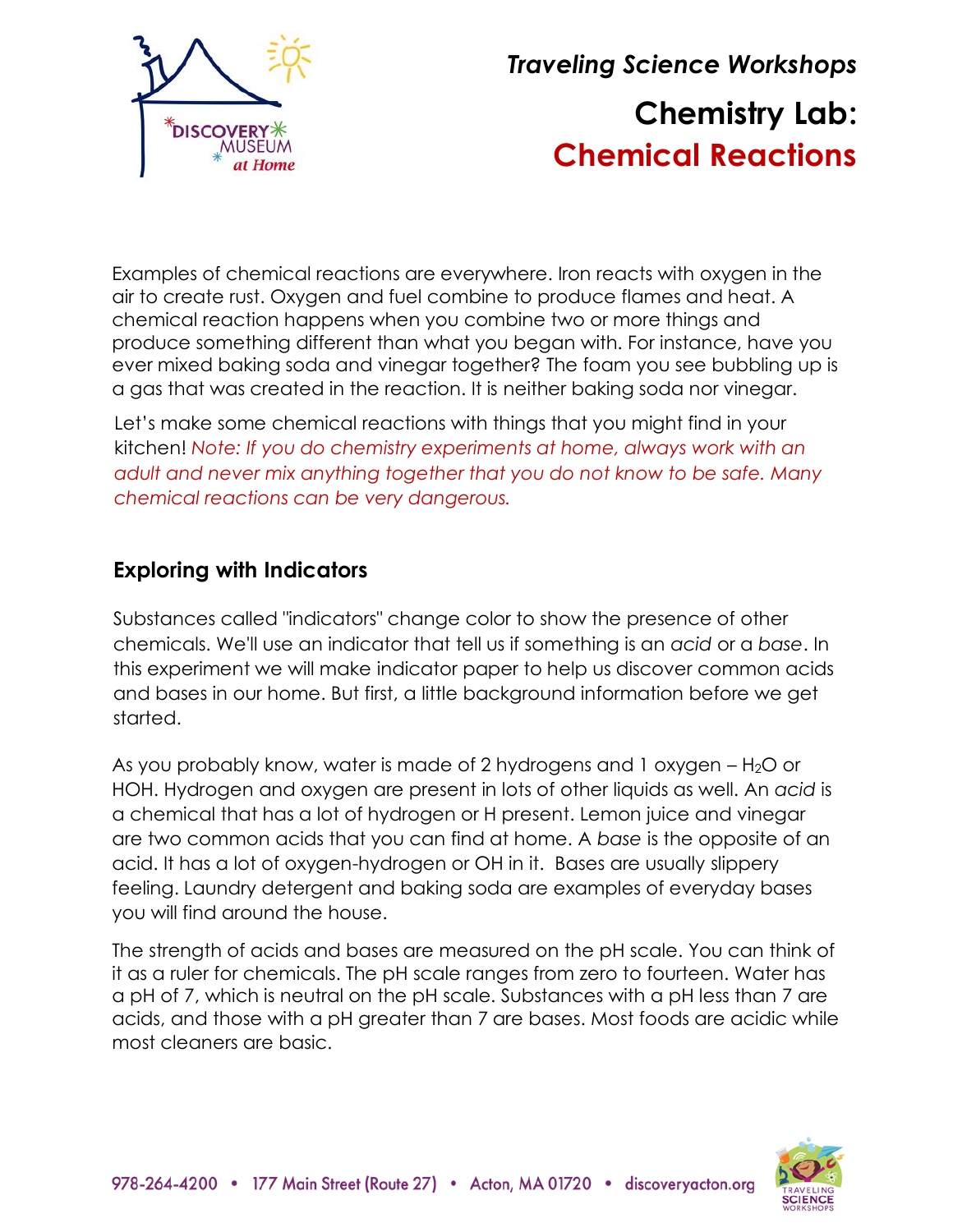

*Traveling Science Workshops* **Chemistry Lab: Chemical Reactions**

Examples of chemical reactions are everywhere. Iron reacts with oxygen in the air to create rust. Oxygen and fuel combine to produce flames and heat. A chemical reaction happens when you combine two or more things and produce something different than what you began with. For instance, have you ever mixed baking soda and vinegar together? The foam you see bubbling up is a gas that was created in the reaction. It is neither baking soda nor vinegar.

Let's make some chemical reactions with things that you might find in your kitchen! *Note: If you do chemistry experiments at home, always work with an adult and never mix anything together that you do not know to be safe. Many chemical reactions can be very dangerous.*

# **Exploring with Indicators**

Substances called "indicators" change color to show the presence of other chemicals. We'll use an indicator that tell us if something is an *acid* or a *base*. In this experiment we will make indicator paper to help us discover common acids and bases in our home. But first, a little background information before we get started.

As you probably know, water is made of 2 hydrogens and 1 oxygen  $-$  H<sub>2</sub>O or HOH. Hydrogen and oxygen are present in lots of other liquids as well. An *acid* is a chemical that has a lot of hydrogen or H present. Lemon juice and vinegar are two common acids that you can find at home. A *base* is the opposite of an acid. It has a lot of oxygen-hydrogen or OH in it. Bases are usually slippery feeling. Laundry detergent and baking soda are examples of everyday bases you will find around the house.

The strength of acids and bases are measured on the pH scale. You can think of it as a ruler for chemicals. The pH scale ranges from zero to fourteen. Water has a pH of 7, which is neutral on the pH scale. Substances with a pH less than 7 are acids, and those with a pH greater than 7 are bases. Most foods are acidic while most cleaners are basic.

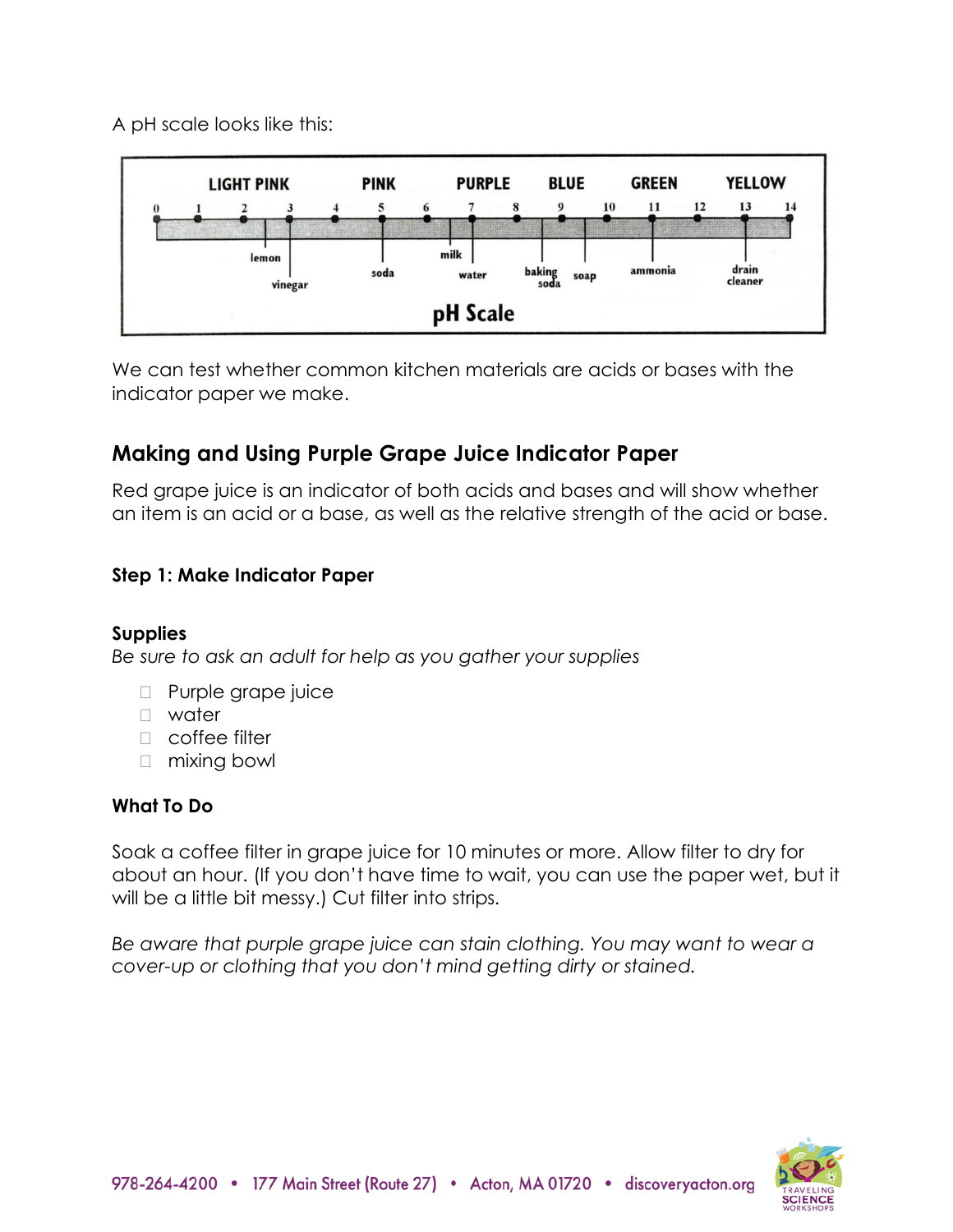A pH scale looks like this:



We can test whether common kitchen materials are acids or bases with the indicator paper we make.

# **Making and Using Purple Grape Juice Indicator Paper**

Red grape juice is an indicator of both acids and bases and will show whether an item is an acid or a base, as well as the relative strength of the acid or base.

## **Step 1: Make Indicator Paper**

## **Supplies**

*Be sure to ask an adult for help as you gather your supplies*

- **Purple grape juice**
- water
- □ coffee filter
- □ mixing bowl

## **What To Do**

Soak a coffee filter in grape juice for 10 minutes or more. Allow filter to dry for about an hour. (If you don't have time to wait, you can use the paper wet, but it will be a little bit messy.) Cut filter into strips.

*Be aware that purple grape juice can stain clothing. You may want to wear a cover-up or clothing that you don't mind getting dirty or stained.*

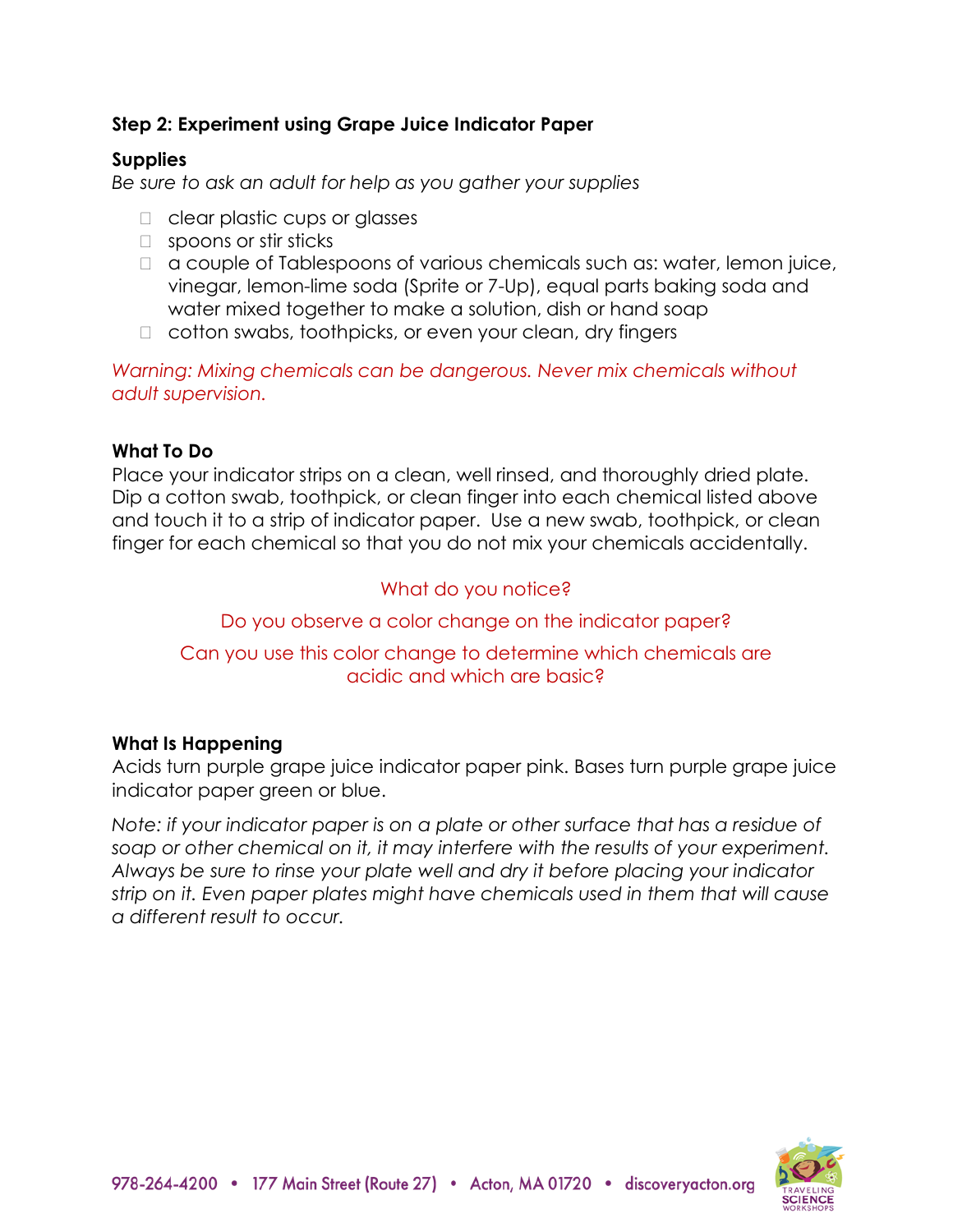### **Step 2: Experiment using Grape Juice Indicator Paper**

#### **Supplies**

*Be sure to ask an adult for help as you gather your supplies*

- □ clear plastic cups or glasses
- □ spoons or stir sticks
- $\Box$  a couple of Tablespoons of various chemicals such as: water, lemon juice, vinegar, lemon-lime soda (Sprite or 7-Up), equal parts baking soda and water mixed together to make a solution, dish or hand soap
- □ cotton swabs, toothpicks, or even your clean, dry fingers

*Warning: Mixing chemicals can be dangerous. Never mix chemicals without adult supervision.*

#### **What To Do**

Place your indicator strips on a clean, well rinsed, and thoroughly dried plate. Dip a cotton swab, toothpick, or clean finger into each chemical listed above and touch it to a strip of indicator paper. Use a new swab, toothpick, or clean finger for each chemical so that you do not mix your chemicals accidentally.

### What do you notice?

Do you observe a color change on the indicator paper?

#### Can you use this color change to determine which chemicals are acidic and which are basic?

#### **What Is Happening**

Acids turn purple grape juice indicator paper pink. Bases turn purple grape juice indicator paper green or blue.

*Note: if your indicator paper is on a plate or other surface that has a residue of soap or other chemical on it, it may interfere with the results of your experiment. Always be sure to rinse your plate well and dry it before placing your indicator strip on it. Even paper plates might have chemicals used in them that will cause a different result to occur.*

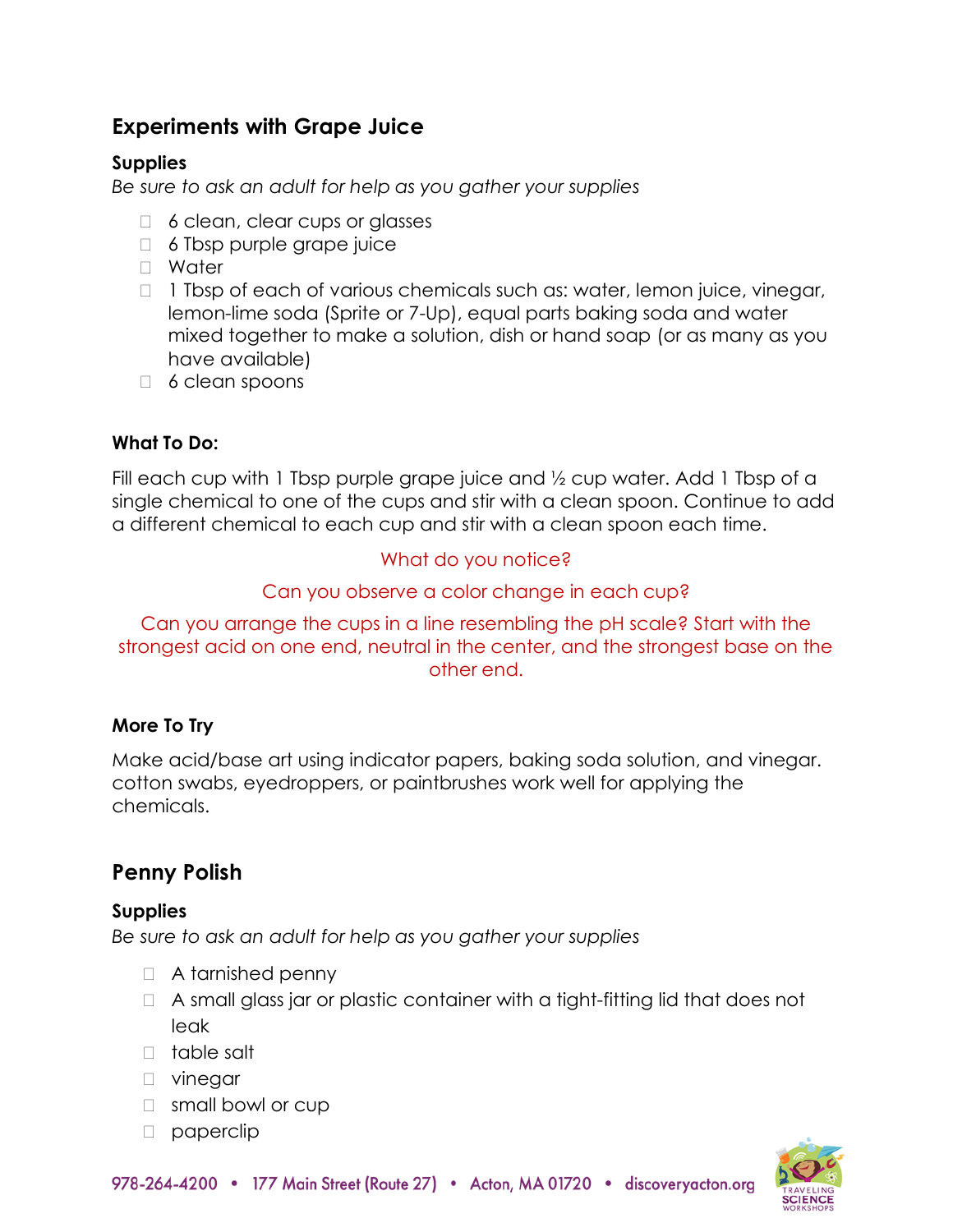# **Experiments with Grape Juice**

### **Supplies**

*Be sure to ask an adult for help as you gather your supplies*

- $\Box$  6 clean, clear cups or glasses
- $\Box$  6 Tbsp purple grape juice
- Water
- $\Box$  1 Tbsp of each of various chemicals such as: water, lemon juice, vinegar, lemon-lime soda (Sprite or 7-Up), equal parts baking soda and water mixed together to make a solution, dish or hand soap (or as many as you have available)
- $\Box$  6 clean spoons

## **What To Do:**

Fill each cup with 1 Tbsp purple grape juice and 1/2 cup water. Add 1 Tbsp of a single chemical to one of the cups and stir with a clean spoon. Continue to add a different chemical to each cup and stir with a clean spoon each time.

# What do you notice?

## Can you observe a color change in each cup?

Can you arrange the cups in a line resembling the pH scale? Start with the strongest acid on one end, neutral in the center, and the strongest base on the other end.

# **More To Try**

Make acid/base art using indicator papers, baking soda solution, and vinegar. cotton swabs, eyedroppers, or paintbrushes work well for applying the chemicals.

# **Penny Polish**

#### **Supplies**

*Be sure to ask an adult for help as you gather your supplies*

- □ A tarnished penny
- A small glass jar or plastic container with a tight-fitting lid that does not leak
- table salt
- **D** vinegar
- □ small bowl or cup
- $\Box$  paperclip

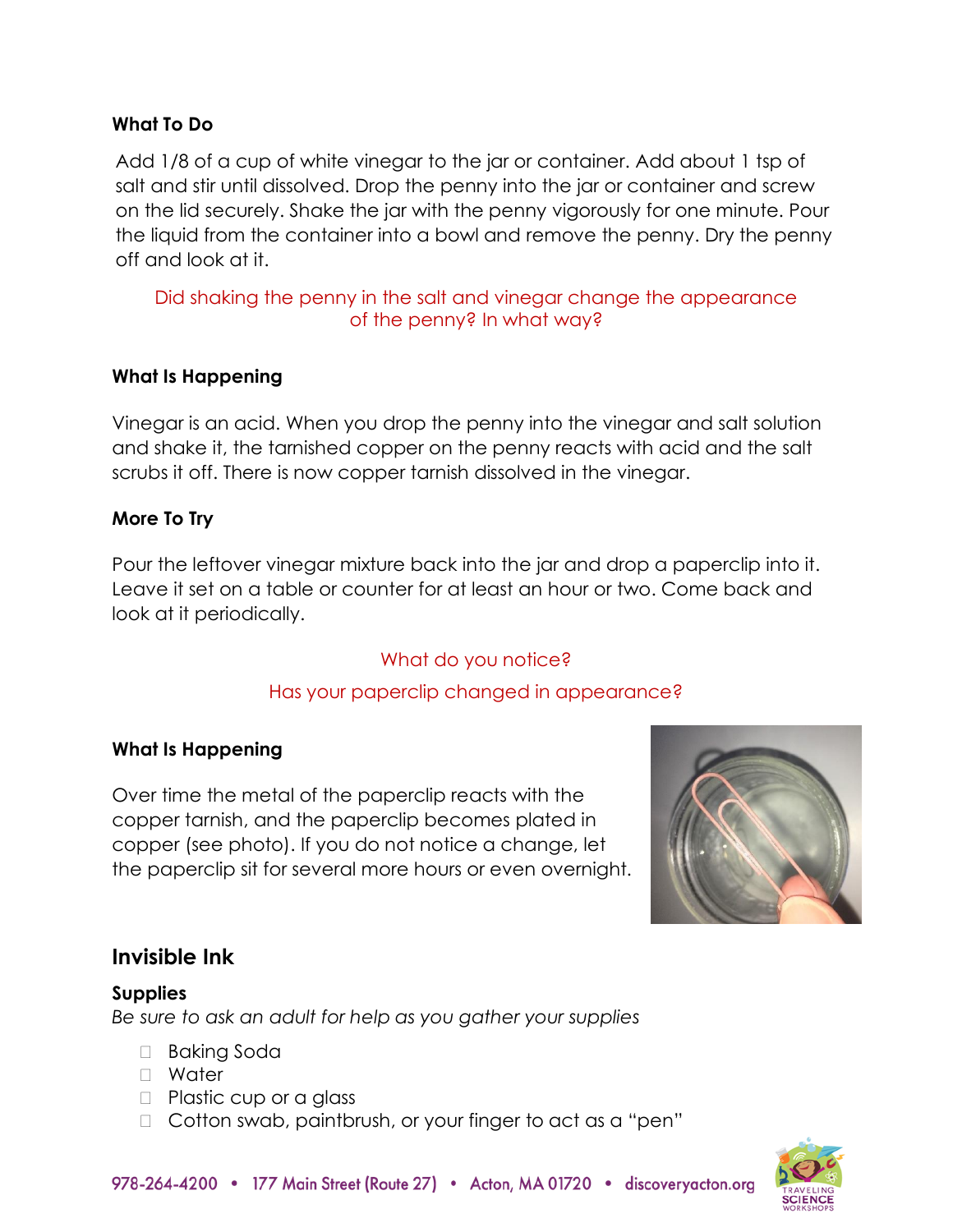#### **What To Do**

Add 1/8 of a cup of white vinegar to the jar or container. Add about 1 tsp of salt and stir until dissolved. Drop the penny into the jar or container and screw on the lid securely. Shake the jar with the penny vigorously for one minute. Pour the liquid from the container into a bowl and remove the penny. Dry the penny off and look at it.

#### Did shaking the penny in the salt and vinegar change the appearance of the penny? In what way?

#### **What Is Happening**

Vinegar is an acid. When you drop the penny into the vinegar and salt solution and shake it, the tarnished copper on the penny reacts with acid and the salt scrubs it off. There is now copper tarnish dissolved in the vinegar.

#### **More To Try**

Pour the leftover vinegar mixture back into the jar and drop a paperclip into it. Leave it set on a table or counter for at least an hour or two. Come back and look at it periodically.

#### What do you notice?

#### Has your paperclip changed in appearance?

#### **What Is Happening**

Over time the metal of the paperclip reacts with the copper tarnish, and the paperclip becomes plated in copper (see photo). If you do not notice a change, let the paperclip sit for several more hours or even overnight.



# **Invisible Ink**

#### **Supplies** *Be sure to ask an adult for help as you gather your supplies*

- □ Baking Soda
- Water
- $\Box$  Plastic cup or a glass
- □ Cotton swab, paintbrush, or your finger to act as a "pen"

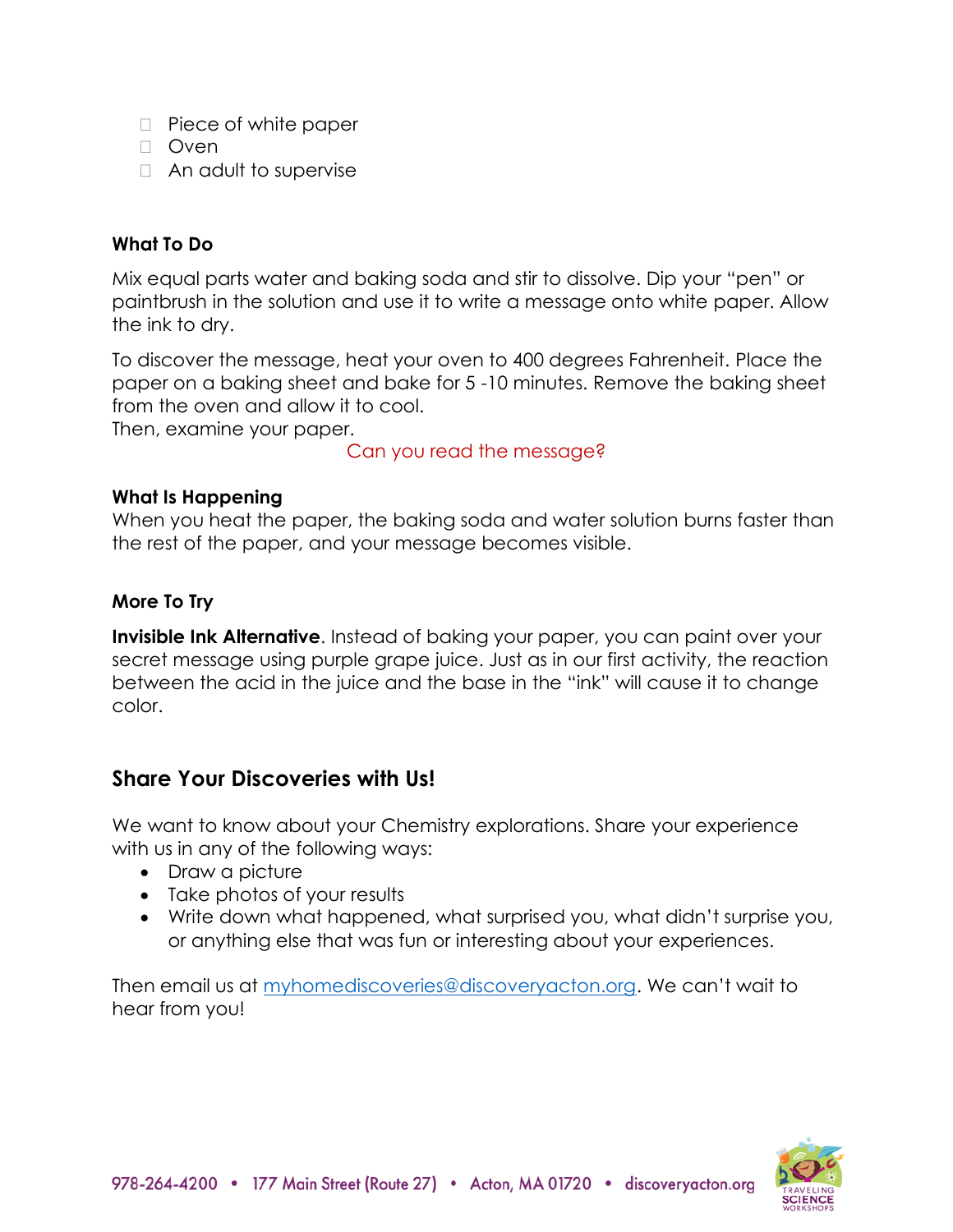- $\Box$  Piece of white paper
- D Oven
- □ An adult to supervise

#### **What To Do**

Mix equal parts water and baking soda and stir to dissolve. Dip your "pen" or paintbrush in the solution and use it to write a message onto white paper. Allow the ink to dry.

To discover the message, heat your oven to 400 degrees Fahrenheit. Place the paper on a baking sheet and bake for 5 -10 minutes. Remove the baking sheet from the oven and allow it to cool.

Then, examine your paper.

Can you read the message?

#### **What Is Happening**

When you heat the paper, the baking soda and water solution burns faster than the rest of the paper, and your message becomes visible.

#### **More To Try**

**Invisible Ink Alternative**. Instead of baking your paper, you can paint over your secret message using purple grape juice. Just as in our first activity, the reaction between the acid in the juice and the base in the "ink" will cause it to change color.

## **Share Your Discoveries with Us!**

We want to know about your Chemistry explorations. Share your experience with us in any of the following ways:

- Draw a picture
- Take photos of your results
- Write down what happened, what surprised you, what didn't surprise you, or anything else that was fun or interesting about your experiences.

Then email us at [myhomediscoveries@discoveryacton.org.](mailto:myhomediscoveries@discoveryacton.org) We can't wait to hear from you!